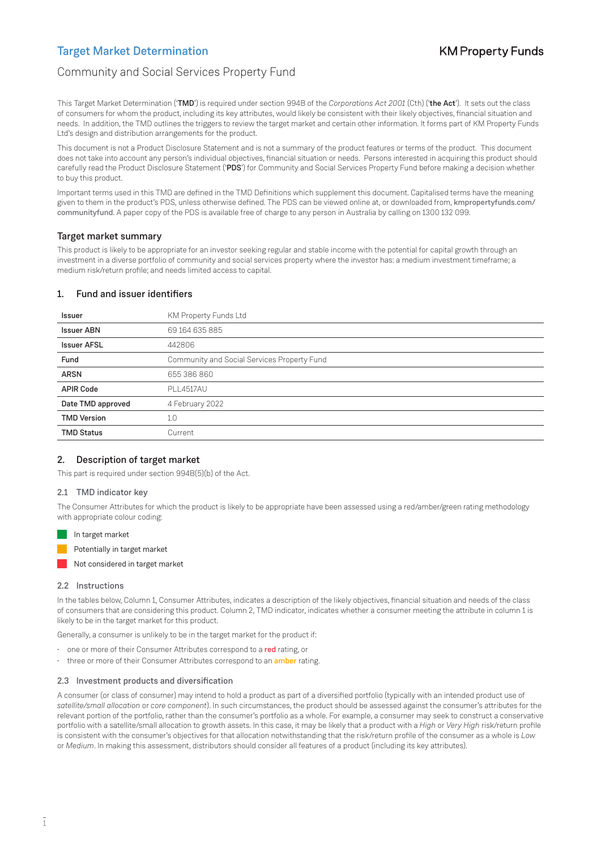# Community and Social Services Property Fund

This Target Market Determination ('TMD') is required under section 994B of the *Corporations Act 2001* (Cth) ('the Act'). It sets out the class of consumers for whom the product, including its key attributes, would likely be consistent with their likely objectives, financial situation and needs. In addition, the TMD outlines the triggers to review the target market and certain other information. It forms part of KM Property Funds Ltd's design and distribution arrangements for the product.

This document is not a Product Disclosure Statement and is not a summary of the product features or terms of the product. This document does not take into account any person's individual objectives, financial situation or needs. Persons interested in acquiring this product should carefully read the Product Disclosure Statement ('PDS') for Community and Social Services Property Fund before making a decision whether to buy this product.

Important terms used in this TMD are defined in the TMD Definitions which supplement this document. Capitalised terms have the meaning given to them in the product's PDS, unless otherwise defined. The PDS can be viewed online at, or downloaded from, [kmpropertyfunds.com/](http://kmpropertyfunds.com/communityfund) [communityfund](http://kmpropertyfunds.com/communityfund). A paper copy of the PDS is available free of charge to any person in Australia by calling on 1300 132 099.

## Target market summary

This product is likely to be appropriate for an investor seeking regular and stable income with the potential for capital growth through an investment in a diverse portfolio of community and social services property where the investor has: a medium investment timeframe; a medium risk/return profile; and needs limited access to capital.

## 1. Fund and issuer identifiers

| Issuer             | KM Property Funds Ltd                       |
|--------------------|---------------------------------------------|
| <b>Issuer ABN</b>  | 69 164 635 885                              |
| <b>Issuer AFSL</b> | 442806                                      |
| Fund               | Community and Social Services Property Fund |
| <b>ARSN</b>        | 655 386 860                                 |
| <b>APIR Code</b>   | PI   4517AU                                 |
| Date TMD approved  | 4 February 2022                             |
| <b>TMD Version</b> | 1.0                                         |
| <b>TMD Status</b>  | Current                                     |
|                    |                                             |

### 2. Description of target market

This part is required under section 994B(5)(b) of the Act.

### 2.1 TMD indicator key

The Consumer Attributes for which the product is likely to be appropriate have been assessed using a red/amber/green rating methodology with appropriate colour coding:

In target market

```
Potentially in target market
```
Not considered in target market

#### 2.2 Instructions

In the tables below, Column 1, Consumer Attributes, indicates a description of the likely objectives, financial situation and needs of the class of consumers that are considering this product. Column 2, TMD indicator, indicates whether a consumer meeting the attribute in column 1 is likely to be in the target market for this product.

Generally, a consumer is unlikely to be in the target market for the product if:

- one or more of their Consumer Attributes correspond to a red rating, or
- three or more of their Consumer Attributes correspond to an *amber* rating.

#### 2.3 Investment products and diversification

A consumer (or class of consumer) may intend to hold a product as part of a diversified portfolio (typically with an intended product use of *satellite/small allocation* or *core component*). In such circumstances, the product should be assessed against the consumer's attributes for the relevant portion of the portfolio, rather than the consumer's portfolio as a whole. For example, a consumer may seek to construct a conservative portfolio with a satellite/small allocation to growth assets. In this case, it may be likely that a product with a *High* or *Very High* risk/return profile is consistent with the consumer's objectives for that allocation notwithstanding that the risk/return profile of the consumer as a whole is *Low* or *Medium*. In making this assessment, distributors should consider all features of a product (including its key attributes).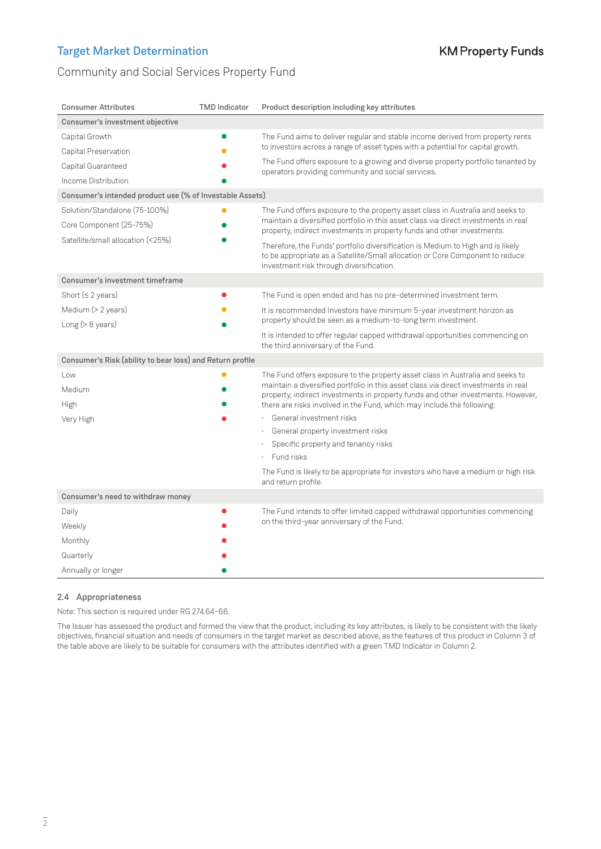# Community and Social Services Property Fund

| <b>Consumer Attributes</b>                                | <b>TMD Indicator</b> | Product description including key attributes                                                                                                                                                                 |  |  |
|-----------------------------------------------------------|----------------------|--------------------------------------------------------------------------------------------------------------------------------------------------------------------------------------------------------------|--|--|
| Consumer's investment objective                           |                      |                                                                                                                                                                                                              |  |  |
| Capital Growth                                            |                      | The Fund aims to deliver regular and stable income derived from property rents                                                                                                                               |  |  |
| Capital Preservation                                      |                      | to investors across a range of asset types with a potential for capital growth.                                                                                                                              |  |  |
| Capital Guaranteed                                        |                      | The Fund offers exposure to a growing and diverse property portfolio tenanted by<br>operators providing community and social services.                                                                       |  |  |
| Income Distribution                                       |                      |                                                                                                                                                                                                              |  |  |
| Consumer's intended product use (% of Investable Assets)  |                      |                                                                                                                                                                                                              |  |  |
| Solution/Standalone (75-100%)                             |                      | The Fund offers exposure to the property asset class in Australia and seeks to                                                                                                                               |  |  |
| Core Component (25-75%)                                   |                      | maintain a diversified portfolio in this asset class via direct investments in real<br>property, indirect investments in property funds and other investments.                                               |  |  |
| Satellite/small allocation (<25%)                         |                      | Therefore, the Funds' portfolio diversification is Medium to High and is likely<br>to be appropriate as a Satellite/Small allocation or Core Component to reduce<br>investment risk through diversification. |  |  |
| Consumer's investment timeframe                           |                      |                                                                                                                                                                                                              |  |  |
| Short ( $\leq$ 2 years)                                   |                      | The Fund is open ended and has no pre-determined investment term.                                                                                                                                            |  |  |
| Medium (> 2 years)<br>Long $(>8$ years)                   |                      | It is recommended Investors have minimum 5-year investment horizon as<br>property should be seen as a medium-to-long term investment.                                                                        |  |  |
|                                                           |                      | It is intended to offer regular capped withdrawal opportunities commencing on<br>the third anniversary of the Fund.                                                                                          |  |  |
| Consumer's Risk (ability to bear loss) and Return profile |                      |                                                                                                                                                                                                              |  |  |
| l ow                                                      |                      | The Fund offers exposure to the property asset class in Australia and seeks to                                                                                                                               |  |  |
| Medium                                                    |                      | maintain a diversified portfolio in this asset class via direct investments in real<br>property, indirect investments in property funds and other investments. However,                                      |  |  |
| High                                                      |                      | there are risks involved in the Fund, which may include the following:                                                                                                                                       |  |  |
| Very High                                                 |                      | General investment risks                                                                                                                                                                                     |  |  |
|                                                           |                      | General property investment risks                                                                                                                                                                            |  |  |
|                                                           |                      | Specific property and tenancy risks<br>Fund risks                                                                                                                                                            |  |  |
|                                                           |                      | The Fund is likely to be appropriate for investors who have a medium or high risk<br>and return profile.                                                                                                     |  |  |
| Consumer's need to withdraw money                         |                      |                                                                                                                                                                                                              |  |  |
| Daily                                                     |                      | The Fund intends to offer limited capped withdrawal opportunities commencing                                                                                                                                 |  |  |
| Weekly                                                    |                      | on the third-year anniversary of the Fund.                                                                                                                                                                   |  |  |
| Monthly                                                   |                      |                                                                                                                                                                                                              |  |  |
| Quarterly                                                 |                      |                                                                                                                                                                                                              |  |  |
| Annually or longer                                        |                      |                                                                                                                                                                                                              |  |  |

## 2.4 Appropriateness

Note: This section is required under RG 274.64–66.

The Issuer has assessed the product and formed the view that the product, including its key attributes, is likely to be consistent with the likely objectives, financial situation and needs of consumers in the target market as described above, as the features of this product in Column 3 of the table above are likely to be suitable for consumers with the attributes identified with a green TMD Indicator in Column 2.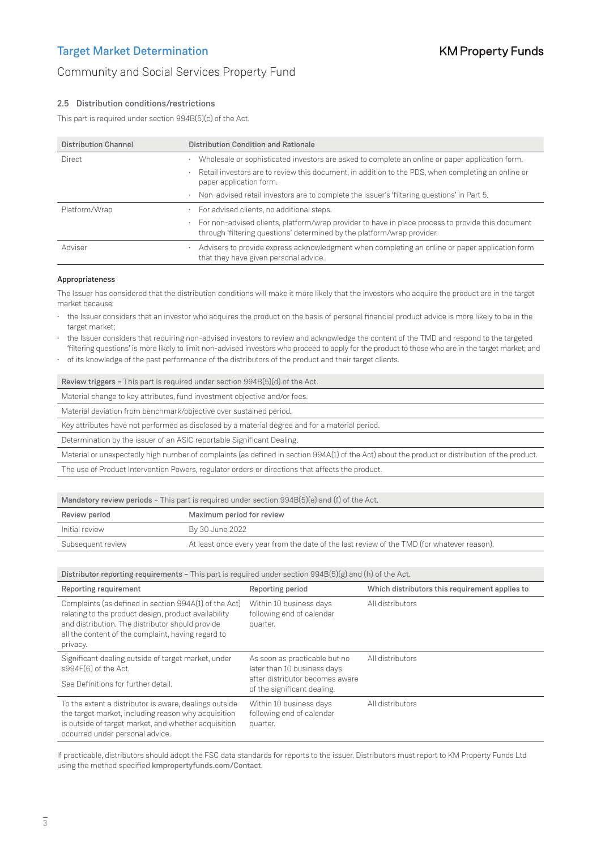## Community and Social Services Property Fund

### 2.5 Distribution conditions/restrictions

This part is required under section 994B(5)(c) of the Act.

| <b>Distribution Channel</b> | Distribution Condition and Rationale                                                                                                                                              |
|-----------------------------|-----------------------------------------------------------------------------------------------------------------------------------------------------------------------------------|
| Direct                      | Wholesale or sophisticated investors are asked to complete an online or paper application form.<br>٠                                                                              |
|                             | Retail investors are to review this document, in addition to the PDS, when completing an online or<br>٠<br>paper application form.                                                |
|                             | · Non-advised retail investors are to complete the issuer's 'filtering questions' in Part 5.                                                                                      |
| Platform/Wrap               | For advised clients, no additional steps.<br>٠                                                                                                                                    |
|                             | For non-advised clients, platform/wrap provider to have in place process to provide this document<br>٠<br>through 'filtering questions' determined by the platform/wrap provider. |
| Adviser                     | Advisers to provide express acknowledgment when completing an online or paper application form<br>٠<br>that they have given personal advice.                                      |

#### Appropriateness

The Issuer has considered that the distribution conditions will make it more likely that the investors who acquire the product are in the target market because:

- the Issuer considers that an investor who acquires the product on the basis of personal financial product advice is more likely to be in the target market;
- the Issuer considers that requiring non-advised investors to review and acknowledge the content of the TMD and respond to the targeted 'filtering questions' is more likely to limit non-advised investors who proceed to apply for the product to those who are in the target market; and
- of its knowledge of the past performance of the distributors of the product and their target clients.

|                                                                                                  | Review triggers - This part is required under section 994B(5)(d) of the Act.                                                                    |  |
|--------------------------------------------------------------------------------------------------|-------------------------------------------------------------------------------------------------------------------------------------------------|--|
| Material change to key attributes, fund investment objective and/or fees.                        |                                                                                                                                                 |  |
| Material deviation from benchmark/objective over sustained period.                               |                                                                                                                                                 |  |
|                                                                                                  | Key attributes have not performed as disclosed by a material degree and for a material period.                                                  |  |
| Determination by the issuer of an ASIC reportable Significant Dealing.                           |                                                                                                                                                 |  |
|                                                                                                  | Material or unexpectedly high number of complaints (as defined in section 994A(1) of the Act) about the product or distribution of the product. |  |
| The use of Product Intervention Powers, regulator orders or directions that affects the product. |                                                                                                                                                 |  |
|                                                                                                  |                                                                                                                                                 |  |
| Mandatory review periods - This part is required under section 994B(5)(e) and (f) of the Act.    |                                                                                                                                                 |  |
| Review period                                                                                    | Maximum period for review                                                                                                                       |  |

| Review period     | Maximum period for review                                                                   |
|-------------------|---------------------------------------------------------------------------------------------|
| Initial review    | By 30 June 2022                                                                             |
| Subsequent review | At least once every year from the date of the last review of the TMD (for whatever reason). |

| Distributor reporting requirements – This part is required under section $994B(5)(g)$ and (h) of the Act.                                                                                                                           |                                                                                                 |                                                |  |  |
|-------------------------------------------------------------------------------------------------------------------------------------------------------------------------------------------------------------------------------------|-------------------------------------------------------------------------------------------------|------------------------------------------------|--|--|
| Reporting requirement                                                                                                                                                                                                               | Reporting period                                                                                | Which distributors this requirement applies to |  |  |
| Complaints (as defined in section 994A(1) of the Act)<br>relating to the product design, product availability<br>and distribution. The distributor should provide<br>all the content of the complaint, having regard to<br>privacy. | Within 10 business days<br>following end of calendar<br>quarter.                                | All distributors                               |  |  |
| Significant dealing outside of target market, under<br>s994F(6) of the Act.                                                                                                                                                         | As soon as practicable but no<br>later than 10 business days<br>after distributor becomes aware | All distributors                               |  |  |
| See Definitions for further detail.                                                                                                                                                                                                 | of the significant dealing.                                                                     |                                                |  |  |
| To the extent a distributor is aware, dealings outside<br>the target market, including reason why acquisition<br>is outside of target market, and whether acquisition<br>occurred under personal advice.                            | Within 10 business days<br>following end of calendar<br>quarter.                                | All distributors                               |  |  |

If practicable, distributors should adopt the FSC data standards for reports to the issuer. Distributors must report to KM Property Funds Ltd using the method specified [kmpropertyfunds.com/Contact](https://kmpropertyfunds.com/Contact).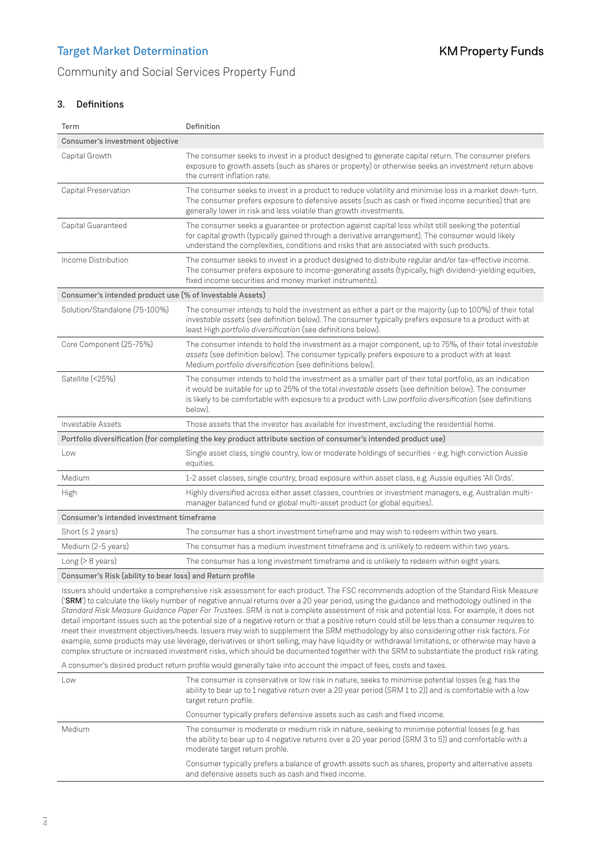## Community and Social Services Property Fund

## 3. Definitions

| Term                                                     | Definition                                                                                                                                                                                                                                                                                                                                  |
|----------------------------------------------------------|---------------------------------------------------------------------------------------------------------------------------------------------------------------------------------------------------------------------------------------------------------------------------------------------------------------------------------------------|
| Consumer's investment objective                          |                                                                                                                                                                                                                                                                                                                                             |
| Capital Growth                                           | The consumer seeks to invest in a product designed to generate capital return. The consumer prefers<br>exposure to growth assets (such as shares or property) or otherwise seeks an investment return above<br>the current inflation rate.                                                                                                  |
| Capital Preservation                                     | The consumer seeks to invest in a product to reduce volatility and minimise loss in a market down-turn.<br>The consumer prefers exposure to defensive assets (such as cash or fixed income securities) that are<br>generally lower in risk and less volatile than growth investments.                                                       |
| Capital Guaranteed                                       | The consumer seeks a guarantee or protection against capital loss whilst still seeking the potential<br>for capital growth (typically gained through a derivative arrangement). The consumer would likely<br>understand the complexities, conditions and risks that are associated with such products.                                      |
| Income Distribution                                      | The consumer seeks to invest in a product designed to distribute regular and/or tax-effective income.<br>The consumer prefers exposure to income-generating assets (typically, high dividend-yielding equities,<br>fixed income securities and money market instruments).                                                                   |
| Consumer's intended product use (% of Investable Assets) |                                                                                                                                                                                                                                                                                                                                             |
| Solution/Standalone (75-100%)                            | The consumer intends to hold the investment as either a part or the majority (up to 100%) of their total<br>investable assets (see definition below). The consumer typically prefers exposure to a product with at<br>least High portfolio diversification (see definitions below).                                                         |
| Core Component (25-75%)                                  | The consumer intends to hold the investment as a major component, up to 75%, of their total investable<br>assets (see definition below). The consumer typically prefers exposure to a product with at least<br>Medium portfolio diversification (see definitions below).                                                                    |
| Satellite (<25%)                                         | The consumer intends to hold the investment as a smaller part of their total portfolio, as an indication<br>it would be suitable for up to 25% of the total investable assets (see definition below). The consumer<br>is likely to be comfortable with exposure to a product with Low portfolio diversification (see definitions<br>below). |
| Investable Assets                                        | Those assets that the investor has available for investment, excluding the residential home.                                                                                                                                                                                                                                                |
|                                                          | Portfolio diversification (for completing the key product attribute section of consumer's intended product use)                                                                                                                                                                                                                             |
| Low                                                      | Single asset class, single country, low or moderate holdings of securities - e.g. high conviction Aussie<br>equities.                                                                                                                                                                                                                       |
| Medium                                                   | 1-2 asset classes, single country, broad exposure within asset class, e.g. Aussie equities 'All Ords'.                                                                                                                                                                                                                                      |
| High                                                     | Highly diversified across either asset classes, countries or investment managers, e.g. Australian multi-<br>manager balanced fund or global multi-asset product (or global equities).                                                                                                                                                       |
| Consumer's intended investment timeframe                 |                                                                                                                                                                                                                                                                                                                                             |
| Short ( $\leq$ 2 years)                                  | The consumer has a short investment timeframe and may wish to redeem within two years.                                                                                                                                                                                                                                                      |
| Medium (2-5 years)                                       | The consumer has a medium investment timeframe and is unlikely to redeem within two years.                                                                                                                                                                                                                                                  |
| Long $(>8 \text{ years})$                                | The consumer has a long investment timeframe and is unlikely to redeem within eight years.                                                                                                                                                                                                                                                  |
|                                                          |                                                                                                                                                                                                                                                                                                                                             |

Consumer's Risk (ability to bear loss) and Return profile

Issuers should undertake a comprehensive risk assessment for each product. The FSC recommends adoption of the Standard Risk Measure ('SRM') to calculate the likely number of negative annual returns over a 20 year period, using the guidance and methodology outlined in the *Standard Risk Measure Guidance Paper For Trustees*. SRM is not a complete assessment of risk and potential loss. For example, it does not detail important issues such as the potential size of a negative return or that a positive return could still be less than a consumer requires to meet their investment objectives/needs. Issuers may wish to supplement the SRM methodology by also considering other risk factors. For example, some products may use leverage, derivatives or short selling, may have liquidity or withdrawal limitations, or otherwise may have a complex structure or increased investment risks, which should be documented together with the SRM to substantiate the product risk rating.

A consumer's desired product return profile would generally take into account the impact of fees, costs and taxes.

| Low    | The consumer is conservative or low risk in nature, seeks to minimise potential losses (e.g. has the<br>ability to bear up to 1 negative return over a 20 year period (SRM 1 to 2)) and is comfortable with a low<br>target return profile.     |
|--------|-------------------------------------------------------------------------------------------------------------------------------------------------------------------------------------------------------------------------------------------------|
|        | Consumer typically prefers defensive assets such as cash and fixed income.                                                                                                                                                                      |
| Medium | The consumer is moderate or medium risk in nature, seeking to minimise potential losses (e.g. has<br>the ability to bear up to 4 negative returns over a 20 year period (SRM 3 to 5)) and comfortable with a<br>moderate target return profile. |
|        | Consumer typically prefers a balance of growth assets such as shares, property and alternative assets<br>and defensive assets such as cash and fixed income.                                                                                    |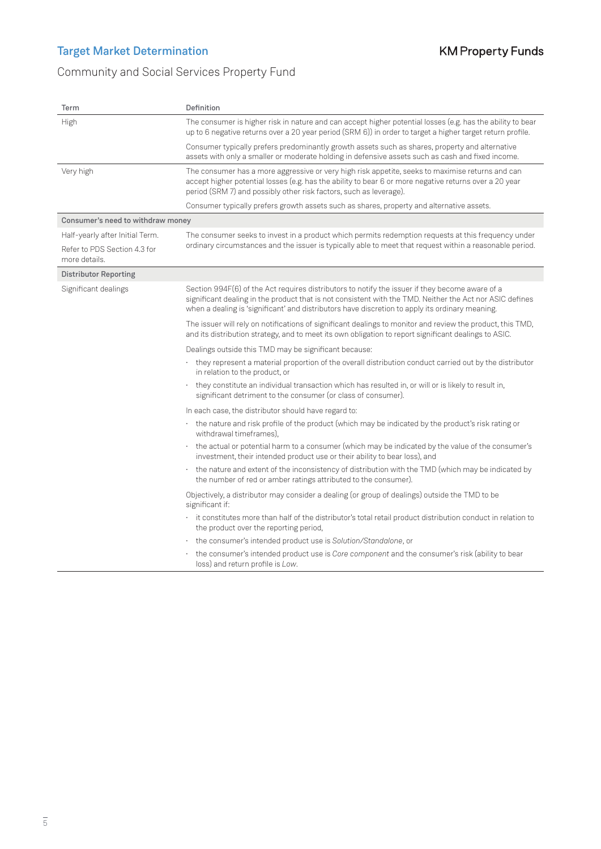# **KM Property Funds**

# Community and Social Services Property Fund

| Term                                          | Definition                                                                                                                                                                                                                                                                                                     |  |  |
|-----------------------------------------------|----------------------------------------------------------------------------------------------------------------------------------------------------------------------------------------------------------------------------------------------------------------------------------------------------------------|--|--|
| High                                          | The consumer is higher risk in nature and can accept higher potential losses (e.g. has the ability to bear<br>up to 6 negative returns over a 20 year period (SRM 6)) in order to target a higher target return profile.                                                                                       |  |  |
|                                               | Consumer typically prefers predominantly growth assets such as shares, property and alternative<br>assets with only a smaller or moderate holding in defensive assets such as cash and fixed income.                                                                                                           |  |  |
| Very high                                     | The consumer has a more aggressive or very high risk appetite, seeks to maximise returns and can<br>accept higher potential losses (e.g. has the ability to bear 6 or more negative returns over a 20 year<br>period (SRM 7) and possibly other risk factors, such as leverage).                               |  |  |
|                                               | Consumer typically prefers growth assets such as shares, property and alternative assets.                                                                                                                                                                                                                      |  |  |
| Consumer's need to withdraw money             |                                                                                                                                                                                                                                                                                                                |  |  |
| Half-yearly after Initial Term.               | The consumer seeks to invest in a product which permits redemption requests at this frequency under                                                                                                                                                                                                            |  |  |
| Refer to PDS Section 4.3 for<br>more details. | ordinary circumstances and the issuer is typically able to meet that request within a reasonable period.                                                                                                                                                                                                       |  |  |
| <b>Distributor Reporting</b>                  |                                                                                                                                                                                                                                                                                                                |  |  |
| Significant dealings                          | Section 994F(6) of the Act requires distributors to notify the issuer if they become aware of a<br>significant dealing in the product that is not consistent with the TMD. Neither the Act nor ASIC defines<br>when a dealing is 'significant' and distributors have discretion to apply its ordinary meaning. |  |  |
|                                               | The issuer will rely on notifications of significant dealings to monitor and review the product, this TMD,<br>and its distribution strategy, and to meet its own obligation to report significant dealings to ASIC.                                                                                            |  |  |
|                                               | Dealings outside this TMD may be significant because:                                                                                                                                                                                                                                                          |  |  |
|                                               | they represent a material proportion of the overall distribution conduct carried out by the distributor<br>in relation to the product, or                                                                                                                                                                      |  |  |
|                                               | they constitute an individual transaction which has resulted in, or will or is likely to result in,<br>significant detriment to the consumer (or class of consumer).                                                                                                                                           |  |  |
|                                               | In each case, the distributor should have regard to:                                                                                                                                                                                                                                                           |  |  |
|                                               | · the nature and risk profile of the product (which may be indicated by the product's risk rating or<br>withdrawal timeframes),                                                                                                                                                                                |  |  |
|                                               | the actual or potential harm to a consumer (which may be indicated by the value of the consumer's<br>investment, their intended product use or their ability to bear loss), and                                                                                                                                |  |  |
|                                               | the nature and extent of the inconsistency of distribution with the TMD (which may be indicated by<br>$\bullet$<br>the number of red or amber ratings attributed to the consumer).                                                                                                                             |  |  |
|                                               | Objectively, a distributor may consider a dealing (or group of dealings) outside the TMD to be<br>significant if:                                                                                                                                                                                              |  |  |
|                                               | it constitutes more than half of the distributor's total retail product distribution conduct in relation to<br>the product over the reporting period,                                                                                                                                                          |  |  |
|                                               | the consumer's intended product use is Solution/Standalone, or                                                                                                                                                                                                                                                 |  |  |
|                                               | the consumer's intended product use is Core component and the consumer's risk (ability to bear<br>loss) and return profile is Low.                                                                                                                                                                             |  |  |